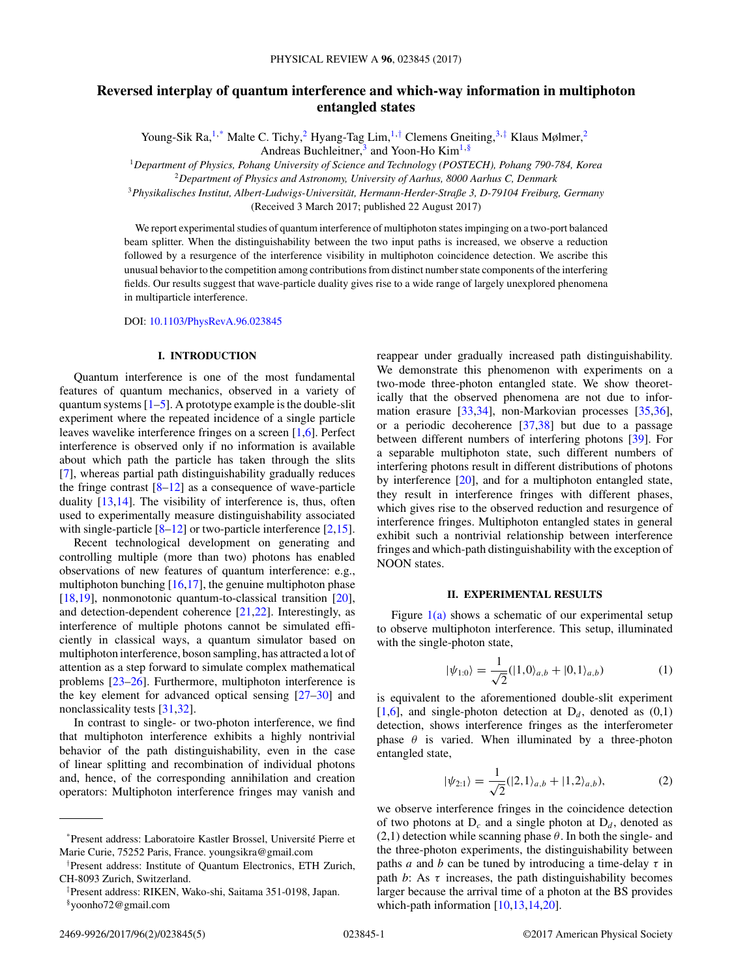# <span id="page-0-0"></span>**Reversed interplay of quantum interference and which-way information in multiphoton entangled states**

Young-Sik Ra,<sup>1,\*</sup> Malte C. Tichy,<sup>2</sup> Hyang-Tag Lim,<sup>1,†</sup> Clemens Gneiting,<sup>3,‡</sup> Klaus Mølmer,<sup>2</sup> Andreas Buchleitner,<sup>3</sup> and Yoon-Ho Kim<sup>1,§</sup>

<sup>1</sup>*Department of Physics, Pohang University of Science and Technology (POSTECH), Pohang 790-784, Korea*

<sup>2</sup>*Department of Physics and Astronomy, University of Aarhus, 8000 Aarhus C, Denmark*

<sup>3</sup>*Physikalisches Institut, Albert-Ludwigs-Universität, Hermann-Herder-Straße 3, D-79104 Freiburg, Germany* (Received 3 March 2017; published 22 August 2017)

We report experimental studies of quantum interference of multiphoton states impinging on a two-port balanced beam splitter. When the distinguishability between the two input paths is increased, we observe a reduction followed by a resurgence of the interference visibility in multiphoton coincidence detection. We ascribe this unusual behavior to the competition among contributions from distinct number state components of the interfering fields. Our results suggest that wave-particle duality gives rise to a wide range of largely unexplored phenomena in multiparticle interference.

DOI: [10.1103/PhysRevA.96.023845](https://doi.org/10.1103/PhysRevA.96.023845)

### **I. INTRODUCTION**

Quantum interference is one of the most fundamental features of quantum mechanics, observed in a variety of quantum systems  $[1-5]$ . A prototype example is the double-slit experiment where the repeated incidence of a single particle leaves wavelike interference fringes on a screen [\[1,6\]](#page-4-0). Perfect interference is observed only if no information is available about which path the particle has taken through the slits [\[7\]](#page-4-0), whereas partial path distinguishability gradually reduces the fringe contrast  $[8-12]$  as a consequence of wave-particle duality [\[13,14\]](#page-4-0). The visibility of interference is, thus, often used to experimentally measure distinguishability associated with single-particle  $[8-12]$  or two-particle interference  $[2,15]$ .

Recent technological development on generating and controlling multiple (more than two) photons has enabled observations of new features of quantum interference: e.g., multiphoton bunching  $[16,17]$ , the genuine multiphoton phase [\[18,19\]](#page-4-0), nonmonotonic quantum-to-classical transition [\[20\]](#page-4-0), and detection-dependent coherence [\[21,22\]](#page-4-0). Interestingly, as interference of multiple photons cannot be simulated efficiently in classical ways, a quantum simulator based on multiphoton interference, boson sampling, has attracted a lot of attention as a step forward to simulate complex mathematical problems [\[23–26\]](#page-4-0). Furthermore, multiphoton interference is the key element for advanced optical sensing [\[27–30\]](#page-4-0) and nonclassicality tests [\[31,32\]](#page-4-0).

In contrast to single- or two-photon interference, we find that multiphoton interference exhibits a highly nontrivial behavior of the path distinguishability, even in the case of linear splitting and recombination of individual photons and, hence, of the corresponding annihilation and creation operators: Multiphoton interference fringes may vanish and

reappear under gradually increased path distinguishability. We demonstrate this phenomenon with experiments on a two-mode three-photon entangled state. We show theoretically that the observed phenomena are not due to information erasure [\[33,34\]](#page-4-0), non-Markovian processes [\[35,36\]](#page-4-0), or a periodic decoherence [\[37,38\]](#page-4-0) but due to a passage between different numbers of interfering photons [\[39\]](#page-4-0). For a separable multiphoton state, such different numbers of interfering photons result in different distributions of photons by interference [\[20\]](#page-4-0), and for a multiphoton entangled state, they result in interference fringes with different phases, which gives rise to the observed reduction and resurgence of interference fringes. Multiphoton entangled states in general exhibit such a nontrivial relationship between interference fringes and which-path distinguishability with the exception of NOON states.

#### **II. EXPERIMENTAL RESULTS**

Figure  $1(a)$  shows a schematic of our experimental setup to observe multiphoton interference. This setup, illuminated with the single-photon state,

$$
|\psi_{1:0}\rangle = \frac{1}{\sqrt{2}}(|1,0\rangle_{a,b} + |0,1\rangle_{a,b})
$$
 (1)

is equivalent to the aforementioned double-slit experiment [\[1,6\]](#page-4-0), and single-photon detection at  $D_d$ , denoted as  $(0,1)$ detection, shows interference fringes as the interferometer phase  $\theta$  is varied. When illuminated by a three-photon entangled state,

$$
|\psi_{2:1}\rangle = \frac{1}{\sqrt{2}}(|2,1\rangle_{a,b} + |1,2\rangle_{a,b}),
$$
 (2)

we observe interference fringes in the coincidence detection of two photons at  $D_c$  and a single photon at  $D_d$ , denoted as (2,1) detection while scanning phase *θ*. In both the single- and the three-photon experiments, the distinguishability between paths *a* and *b* can be tuned by introducing a time-delay  $\tau$  in path  $b$ : As  $\tau$  increases, the path distinguishability becomes larger because the arrival time of a photon at the BS provides which-path information [\[10,13,14,20\]](#page-4-0).

<sup>\*</sup>Present address: Laboratoire Kastler Brossel, Université Pierre et Marie Curie, 75252 Paris, France. youngsikra@gmail.com

<sup>†</sup> Present address: Institute of Quantum Electronics, ETH Zurich, CH-8093 Zurich, Switzerland.

<sup>‡</sup> Present address: RIKEN, Wako-shi, Saitama 351-0198, Japan. §yoonho72@gmail.com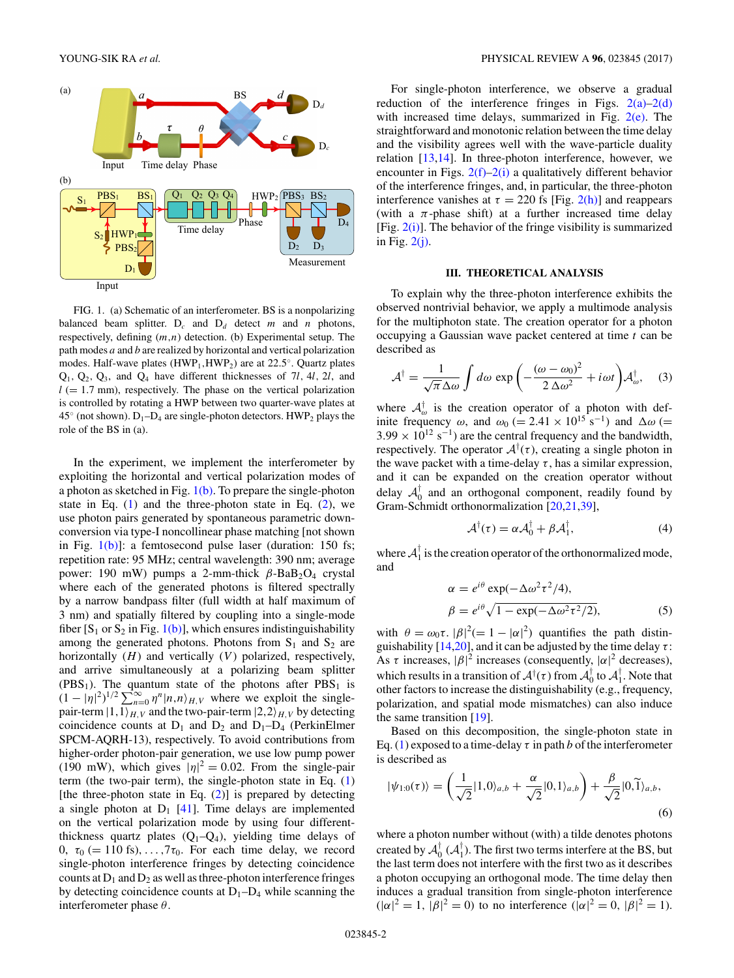<span id="page-1-0"></span>

FIG. 1. (a) Schematic of an interferometer. BS is a nonpolarizing balanced beam splitter.  $D_c$  and  $D_d$  detect *m* and *n* photons, respectively, defining (*m,n*) detection. (b) Experimental setup. The path modes *a* and *b* are realized by horizontal and vertical polarization modes. Half-wave plates (HWP<sub>1</sub>,HWP<sub>2</sub>) are at 22.5°. Quartz plates  $Q_1$ ,  $Q_2$ ,  $Q_3$ , and  $Q_4$  have different thicknesses of 7*l*, 4*l*, 2*l*, and  $l$  ( $= 1.7$  mm), respectively. The phase on the vertical polarization is controlled by rotating a HWP between two quarter-wave plates at  $45^\circ$  (not shown).  $D_1$ – $D_4$  are single-photon detectors. HWP<sub>2</sub> plays the role of the BS in (a).

In the experiment, we implement the interferometer by exploiting the horizontal and vertical polarization modes of a photon as sketched in Fig.  $1(b)$ . To prepare the single-photon state in Eq.  $(1)$  and the three-photon state in Eq.  $(2)$ , we use photon pairs generated by spontaneous parametric downconversion via type-I noncollinear phase matching [not shown in Fig.  $1(b)$ ]: a femtosecond pulse laser (duration: 150 fs; repetition rate: 95 MHz; central wavelength: 390 nm; average power: 190 mW) pumps a 2-mm-thick *β*-BaB<sub>2</sub>O<sub>4</sub> crystal where each of the generated photons is filtered spectrally by a narrow bandpass filter (full width at half maximum of 3 nm) and spatially filtered by coupling into a single-mode fiber  $[S_1$  or  $S_2$  in Fig. 1(b)], which ensures indistinguishability among the generated photons. Photons from  $S_1$  and  $S_2$  are horizontally (*H*) and vertically (*V*) polarized, respectively, and arrive simultaneously at a polarizing beam splitter  $(PBS<sub>1</sub>)$ . The quantum state of the photons after  $PBS<sub>1</sub>$  is  $(1 - |\eta|^2)^{1/2} \sum_{n=0}^{\infty} \eta^n |n,n\rangle_{H,V}$  where we exploit the singlepair-term  $|1,1\rangle_{H,V}$  and the two-pair-term  $|2,2\rangle_{H,V}$  by detecting coincidence counts at  $D_1$  and  $D_2$  and  $D_1-D_4$  (PerkinElmer SPCM-AQRH-13), respectively. To avoid contributions from higher-order photon-pair generation, we use low pump power (190 mW), which gives  $|\eta|^2 = 0.02$ . From the single-pair term (the two-pair term), the single-photon state in Eq. [\(1\)](#page-0-0) [the three-photon state in Eq.  $(2)$ ] is prepared by detecting a single photon at  $D_1$  [\[41\]](#page-4-0). Time delays are implemented on the vertical polarization mode by using four differentthickness quartz plates  $(Q_1-Q_4)$ , yielding time delays of 0,  $\tau_0$  (= 110 fs), ...,  $7\tau_0$ . For each time delay, we record single-photon interference fringes by detecting coincidence counts at  $D_1$  and  $D_2$  as well as three-photon interference fringes by detecting coincidence counts at  $D_1-D_4$  while scanning the interferometer phase *θ*.

For single-photon interference, we observe a gradual reduction of the interference fringes in Figs.  $2(a)-2(d)$ with increased time delays, summarized in Fig.  $2(e)$ . The straightforward and monotonic relation between the time delay and the visibility agrees well with the wave-particle duality relation [\[13,14\]](#page-4-0). In three-photon interference, however, we encounter in Figs.  $2(f)-2(i)$  a qualitatively different behavior of the interference fringes, and, in particular, the three-photon interference vanishes at  $\tau = 220$  fs [Fig. [2\(h\)\]](#page-2-0) and reappears (with a  $\pi$ -phase shift) at a further increased time delay [Fig.  $2(i)$ ]. The behavior of the fringe visibility is summarized in Fig. [2\(j\).](#page-2-0)

#### **III. THEORETICAL ANALYSIS**

To explain why the three-photon interference exhibits the observed nontrivial behavior, we apply a multimode analysis for the multiphoton state. The creation operator for a photon occupying a Gaussian wave packet centered at time *t* can be described as

$$
\mathcal{A}^{\dagger} = \frac{1}{\sqrt{\pi} \Delta \omega} \int d\omega \exp\left(-\frac{(\omega - \omega_0)^2}{2 \Delta \omega^2} + i\omega t\right) \mathcal{A}_{\omega}^{\dagger}, \quad (3)
$$

where  $A^{\dagger}_{\omega}$  is the creation operator of a photon with definite frequency  $\omega$ , and  $\omega_0$  (= 2.41 × 10<sup>15</sup> s<sup>-1</sup>) and  $\Delta \omega$  (=  $3.99 \times 10^{12}$  s<sup>-1</sup>) are the central frequency and the bandwidth, respectively. The operator  $A^{\dagger}(\tau)$ , creating a single photon in the wave packet with a time-delay  $\tau$ , has a similar expression, and it can be expanded on the creation operator without delay  $\mathcal{A}_0^{\dagger}$  and an orthogonal component, readily found by Gram-Schmidt orthonormalization [\[20,21,39\]](#page-4-0),

$$
\mathcal{A}^{\dagger}(\tau) = \alpha \mathcal{A}_{0}^{\dagger} + \beta \mathcal{A}_{1}^{\dagger}, \tag{4}
$$

where  $A_1^{\dagger}$  is the creation operator of the orthonormalized mode, and

$$
\alpha = e^{i\theta} \exp(-\Delta\omega^2 \tau^2/4),
$$
  
\n
$$
\beta = e^{i\theta} \sqrt{1 - \exp(-\Delta\omega^2 \tau^2/2)},
$$
\n(5)

with  $\theta = \omega_0 \tau$ .  $|\beta|^2 (= 1 - |\alpha|^2)$  quantifies the path distinguishability  $[14,20]$ , and it can be adjusted by the time delay  $\tau$ : As  $\tau$  increases,  $|\beta|^2$  increases (consequently,  $|\alpha|^2$  decreases), which results in a transition of  $A^{\dagger}(\tau)$  from  $A_0^{\dagger}$  to  $A_1^{\dagger}$ . Note that other factors to increase the distinguishability (e.g., frequency, polarization, and spatial mode mismatches) can also induce the same transition [\[19\]](#page-4-0).

Based on this decomposition, the single-photon state in Eq. [\(1\)](#page-0-0) exposed to a time-delay  $\tau$  in path *b* of the interferometer is described as

$$
|\psi_{1:0}(\tau)\rangle = \left(\frac{1}{\sqrt{2}}|1,0\rangle_{a,b} + \frac{\alpha}{\sqrt{2}}|0,1\rangle_{a,b}\right) + \frac{\beta}{\sqrt{2}}|0,\widetilde{1}\rangle_{a,b},\tag{6}
$$

where a photon number without (with) a tilde denotes photons created by  $\mathcal{A}_0^{\dagger}$  ( $\mathcal{A}_1^{\dagger}$ ). The first two terms interfere at the BS, but the last term does not interfere with the first two as it describes a photon occupying an orthogonal mode. The time delay then induces a gradual transition from single-photon interference  $(|\alpha|^2 = 1, |\beta|^2 = 0)$  to no interference  $(|\alpha|^2 = 0, |\beta|^2 = 1)$ .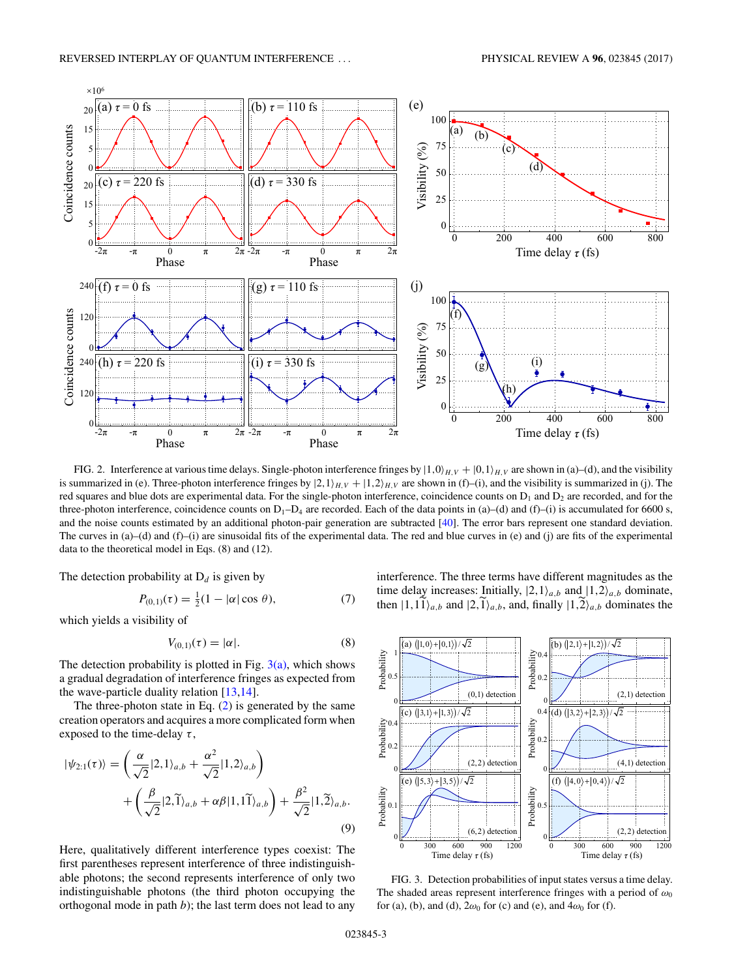<span id="page-2-0"></span>

FIG. 2. Interference at various time delays. Single-photon interference fringes by  $|1,0\rangle_{H,V} + |0,1\rangle_{H,V}$  are shown in (a)–(d), and the visibility is summarized in (e). Three-photon interference fringes by  $|2,1\rangle_{H,V} + |1,2\rangle_{H,V}$  are shown in (f)–(i), and the visibility is summarized in (j). The red squares and blue dots are experimental data. For the single-photon interference, coincidence counts on  $D_1$  and  $D_2$  are recorded, and for the three-photon interference, coincidence counts on  $D_1 - D_4$  are recorded. Each of the data points in (a)–(d) and (f)–(i) is accumulated for 6600 s, and the noise counts estimated by an additional photon-pair generation are subtracted [\[40\]](#page-4-0). The error bars represent one standard deviation. The curves in  $(a)$ –(d) and  $(f)$ –(i) are sinusoidal fits of the experimental data. The red and blue curves in (e) and (j) are fits of the experimental data to the theoretical model in Eqs. (8) and (12).

The detection probability at  $D_d$  is given by

$$
P_{(0,1)}(\tau) = \frac{1}{2}(1 - |\alpha| \cos \theta), \tag{7}
$$

which yields a visibility of

$$
V_{(0,1)}(\tau) = |\alpha|.\tag{8}
$$

The detection probability is plotted in Fig.  $3(a)$ , which shows a gradual degradation of interference fringes as expected from the wave-particle duality relation [\[13,14\]](#page-4-0).

The three-photon state in Eq.  $(2)$  is generated by the same creation operators and acquires a more complicated form when exposed to the time-delay *τ* ,

$$
|\psi_{2:1}(\tau)\rangle = \left(\frac{\alpha}{\sqrt{2}}|2,1\rangle_{a,b} + \frac{\alpha^2}{\sqrt{2}}|1,2\rangle_{a,b}\right) + \left(\frac{\beta}{\sqrt{2}}|2,\widetilde{1}\rangle_{a,b} + \alpha\beta|1,\widetilde{1}\rangle_{a,b}\right) + \frac{\beta^2}{\sqrt{2}}|1,\widetilde{2}\rangle_{a,b}.
$$
\n(9)

Here, qualitatively different interference types coexist: The first parentheses represent interference of three indistinguishable photons; the second represents interference of only two indistinguishable photons (the third photon occupying the orthogonal mode in path *b*); the last term does not lead to any

interference. The three terms have different magnitudes as the time delay increases: Initially,  $|2, 1\rangle_{a,b}$  and  $|1, 2\rangle_{a,b}$  dominate, then  $|1,11\rangle_{a,b}$  and  $|2,1\rangle_{a,b}$ , and, finally  $|1,2\rangle_{a,b}$  dominates the



FIG. 3. Detection probabilities of input states versus a time delay. The shaded areas represent interference fringes with a period of  $\omega_0$ for (a), (b), and (d),  $2\omega_0$  for (c) and (e), and  $4\omega_0$  for (f).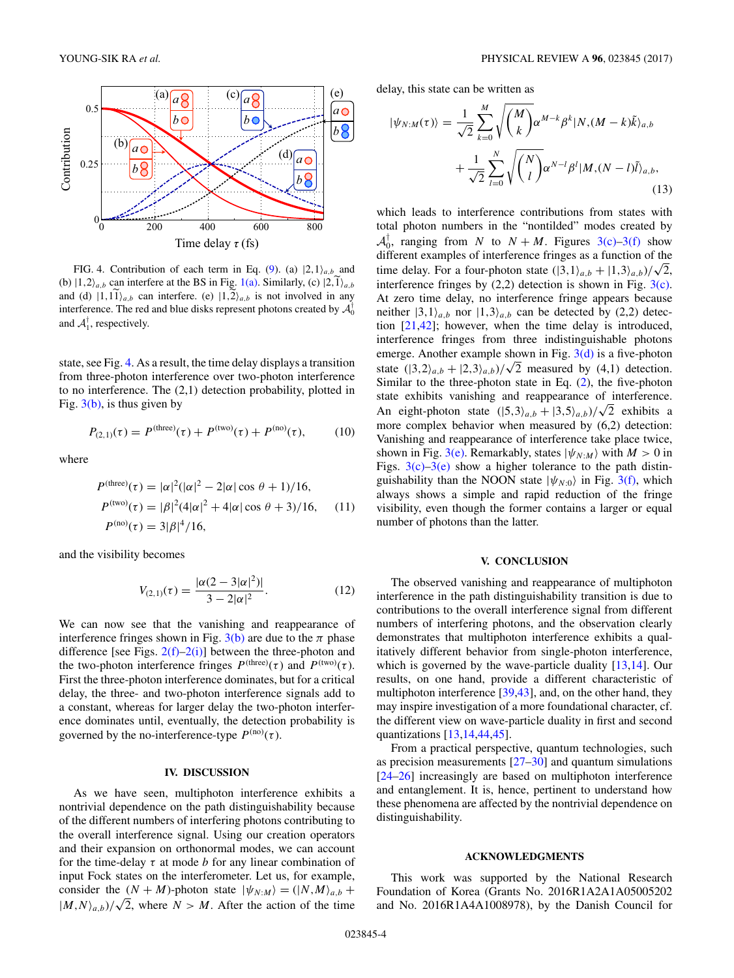

FIG. 4. Contribution of each term in Eq. [\(9\)](#page-2-0). (a)  $|2,1\rangle_{a,b}$  and (b)  $|1,2\rangle_{a,b}$  can interfere at the BS in Fig. [1\(a\).](#page-1-0) Similarly, (c)  $|2,1\rangle_{a,b}$ and (d)  $|1,11\rangle_{a,b}$  can interfere. (e)  $|1,2\rangle_{a,b}$  is not involved in any interference. The red and blue disks represent photons created by  $\mathcal{A}_0^{\dagger}$ and  $A_1^{\dagger}$ , respectively.

state, see Fig. 4. As a result, the time delay displays a transition from three-photon interference over two-photon interference to no interference. The (2,1) detection probability, plotted in Fig.  $3(b)$ , is thus given by

$$
P_{(2,1)}(\tau) = P^{\text{(three)}}(\tau) + P^{\text{(two)}}(\tau) + P^{\text{(no)}}(\tau), \quad (10)
$$

where

$$
P^{(\text{three})}(\tau) = |\alpha|^2 (|\alpha|^2 - 2|\alpha|\cos\theta + 1)/16,
$$
  
\n
$$
P^{(\text{two})}(\tau) = |\beta|^2 (4|\alpha|^2 + 4|\alpha|\cos\theta + 3)/16,
$$
 (11)  
\n
$$
P^{(\text{no})}(\tau) = 3|\beta|^4/16,
$$

and the visibility becomes

$$
V_{(2,1)}(\tau) = \frac{|\alpha(2-3|\alpha|^2)|}{3-2|\alpha|^2}.
$$
 (12)

We can now see that the vanishing and reappearance of interference fringes shown in Fig.  $3(b)$  are due to the  $\pi$  phase difference [see Figs.  $2(f)-2(i)$ ] between the three-photon and the two-photon interference fringes  $P^{(three)}(\tau)$  and  $P^{(two)}(\tau)$ . First the three-photon interference dominates, but for a critical delay, the three- and two-photon interference signals add to a constant, whereas for larger delay the two-photon interference dominates until, eventually, the detection probability is governed by the no-interference-type  $P^{(no)}(\tau)$ .

## **IV. DISCUSSION**

As we have seen, multiphoton interference exhibits a nontrivial dependence on the path distinguishability because of the different numbers of interfering photons contributing to the overall interference signal. Using our creation operators and their expansion on orthonormal modes, we can account for the time-delay  $\tau$  at mode *b* for any linear combination of input Fock states on the interferometer. Let us, for example, consider the  $(N + M)$ -photon state  $|\psi_{N:M}\rangle = (|N,M\rangle_{a,b} +$  $|M, N\rangle_{a,b}$ / $\sqrt{2}$ , where *N > M*. After the action of the time

delay, this state can be written as

$$
|\psi_{N:M}(\tau)\rangle = \frac{1}{\sqrt{2}} \sum_{k=0}^{M} \sqrt{\binom{M}{k}} \alpha^{M-k} \beta^{k} |N, (M-k)\tilde{k}\rangle_{a,b}
$$

$$
+ \frac{1}{\sqrt{2}} \sum_{l=0}^{N} \sqrt{\binom{N}{l}} \alpha^{N-l} \beta^{l} |M, (N-l)\tilde{l}\rangle_{a,b}, \tag{13}
$$

which leads to interference contributions from states with total photon numbers in the "nontilded" modes created by  $A_0^{\dagger}$ , ranging from *N* to  $N + M$ . Figures [3\(c\)–3\(f\)](#page-2-0) show different examples of interference fringes as a function of the time delay. For a four-photon state  $(|3,1\rangle_{a,b} + |1,3\rangle_{a,b})/\sqrt{2}$ , interference fringes by  $(2,2)$  detection is shown in Fig.  $3(c)$ . At zero time delay, no interference fringe appears because neither  $|3,1\rangle_{a,b}$  nor  $|1,3\rangle_{a,b}$  can be detected by (2,2) detection [\[21,42\]](#page-4-0); however, when the time delay is introduced, interference fringes from three indistinguishable photons emerge. Another example shown in Fig.  $3(d)$  is a five-photon state  $(|3,2\rangle_{a,b} + |2,3\rangle_{a,b})/\sqrt{2}$  measured by (4,1) detection. Similar to the three-photon state in Eq. [\(2\)](#page-0-0), the five-photon state exhibits vanishing and reappearance of interference. An eight-photon state  $(|5,3\rangle_{a,b} + |3,5\rangle_{a,b})/\sqrt{2}$  exhibits a more complex behavior when measured by (6,2) detection: Vanishing and reappearance of interference take place twice, shown in Fig. [3\(e\).](#page-2-0) Remarkably, states  $|\psi_{N:M}\rangle$  with  $M > 0$  in Figs.  $3(c)$ –3(e) show a higher tolerance to the path distinguishability than the NOON state  $|\psi_{N:0}\rangle$  in Fig. [3\(f\),](#page-2-0) which always shows a simple and rapid reduction of the fringe visibility, even though the former contains a larger or equal number of photons than the latter.

### **V. CONCLUSION**

The observed vanishing and reappearance of multiphoton interference in the path distinguishability transition is due to contributions to the overall interference signal from different numbers of interfering photons, and the observation clearly demonstrates that multiphoton interference exhibits a qualitatively different behavior from single-photon interference, which is governed by the wave-particle duality [\[13,14\]](#page-4-0). Our results, on one hand, provide a different characteristic of multiphoton interference [\[39,43\]](#page-4-0), and, on the other hand, they may inspire investigation of a more foundational character, cf. the different view on wave-particle duality in first and second quantizations [\[13,14,44,45\]](#page-4-0).

From a practical perspective, quantum technologies, such as precision measurements [\[27–30\]](#page-4-0) and quantum simulations [\[24–26\]](#page-4-0) increasingly are based on multiphoton interference and entanglement. It is, hence, pertinent to understand how these phenomena are affected by the nontrivial dependence on distinguishability.

#### **ACKNOWLEDGMENTS**

This work was supported by the National Research Foundation of Korea (Grants No. 2016R1A2A1A05005202 and No. 2016R1A4A1008978), by the Danish Council for